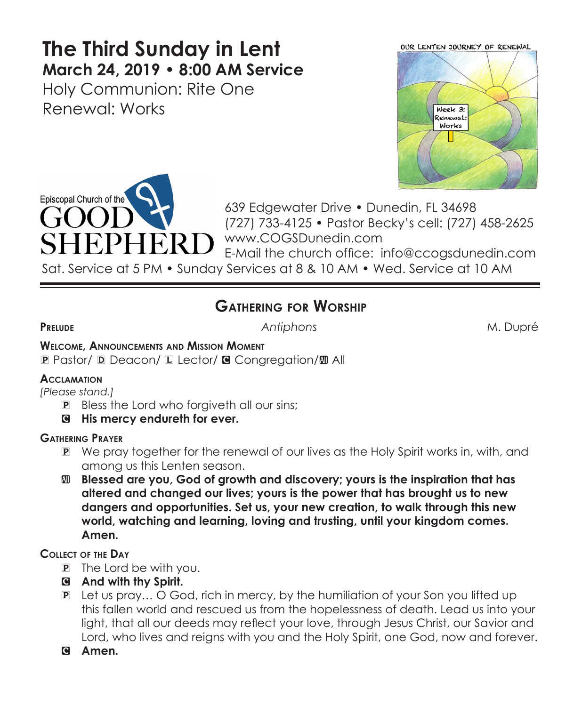# **The Third Sunday in Lent March 24, 2019 • 8:00 AM Service**

Holy Communion: Rite One Renewal: Works







639 Edgewater Drive • Dunedin, FL 34698 (727) 733-4125 • Pastor Becky's cell: (727) 458-2625 www.COGSDunedin.com E-Mail the church office: info@ccogsdunedin.com

Sat. Service at 5 PM • Sunday Services at 8 & 10 AM • Wed. Service at 10 AM

## **Gathering for Worship**

**Prelude Antiphons Antiphons M. Dupré** 

#### **Welcome, Announcements and Mission Moment**

P Pastor/ D Deacon/ L Lector/ G Congregation/M All

#### **Acclamation**

*[Please stand.]* 

- P Bless the Lord who forgiveth all our sins;
- C **His mercy endureth for ever.**

#### **Gathering Prayer**

- P We pray together for the renewal of our lives as the Holy Spirit works in, with, and among us this Lenten season.
- a **Blessed are you, God of growth and discovery; yours is the inspiration that has altered and changed our lives; yours is the power that has brought us to new dangers and opportunities. Set us, your new creation, to walk through this new world, watching and learning, loving and trusting, until your kingdom comes. Amen.**

#### **Collect of the Day**

- P The Lord be with you.
- C **And with thy Spirit.**
- P Let us pray… O God, rich in mercy, by the humiliation of your Son you lifted up this fallen world and rescued us from the hopelessness of death. Lead us into your light, that all our deeds may reflect your love, through Jesus Christ, our Savior and Lord, who lives and reigns with you and the Holy Spirit, one God, now and forever.
- C **Amen.**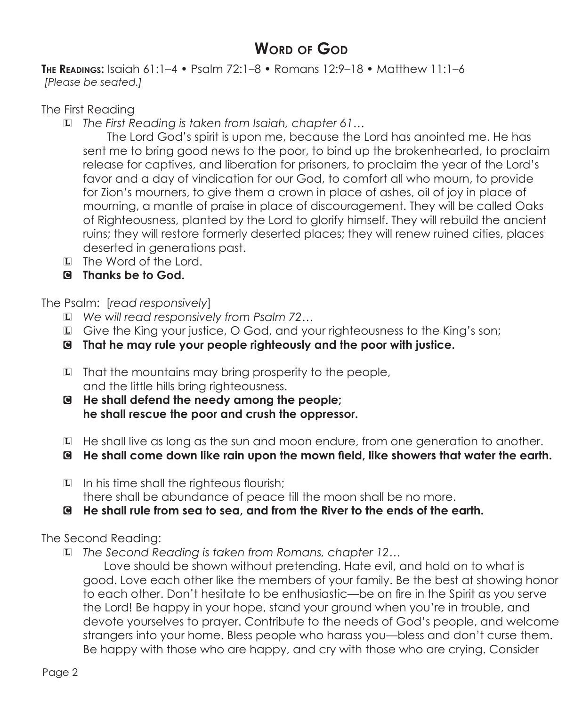## **Word of God**

**The Readings:** Isaiah 61:1–4 • Psalm 72:1–8 • Romans 12:9–18 • Matthew 11:1–6 *[Please be seated.]*

#### The First Reading

L *The First Reading is taken from Isaiah, chapter 61…*

 The Lord God's spirit is upon me, because the Lord has anointed me. He has sent me to bring good news to the poor, to bind up the brokenhearted, to proclaim release for captives, and liberation for prisoners, to proclaim the year of the Lord's favor and a day of vindication for our God, to comfort all who mourn, to provide for Zion's mourners, to give them a crown in place of ashes, oil of joy in place of mourning, a mantle of praise in place of discouragement. They will be called Oaks of Righteousness, planted by the Lord to glorify himself. They will rebuild the ancient ruins; they will restore formerly deserted places; they will renew ruined cities, places deserted in generations past.

- L The Word of the Lord.
- C **Thanks be to God.**

The Psalm: [*read responsively*]

- L *We will read responsively from Psalm 72…*
- L Give the King your justice, O God, and your righteousness to the King's son;
- C **That he may rule your people righteously and the poor with justice.**
- L That the mountains may bring prosperity to the people, and the little hills bring righteousness.
- C **He shall defend the needy among the people; he shall rescue the poor and crush the oppressor.**
- L He shall live as long as the sun and moon endure, from one generation to another.
- C **He shall come down like rain upon the mown field, like showers that water the earth.**
- L In his time shall the righteous flourish; there shall be abundance of peace till the moon shall be no more.
- C **He shall rule from sea to sea, and from the River to the ends of the earth.**

The Second Reading:

L *The Second Reading is taken from Romans, chapter 12…*

 Love should be shown without pretending. Hate evil, and hold on to what is good. Love each other like the members of your family. Be the best at showing honor to each other. Don't hesitate to be enthusiastic—be on fire in the Spirit as you serve the Lord! Be happy in your hope, stand your ground when you're in trouble, and devote yourselves to prayer. Contribute to the needs of God's people, and welcome strangers into your home. Bless people who harass you—bless and don't curse them. Be happy with those who are happy, and cry with those who are crying. Consider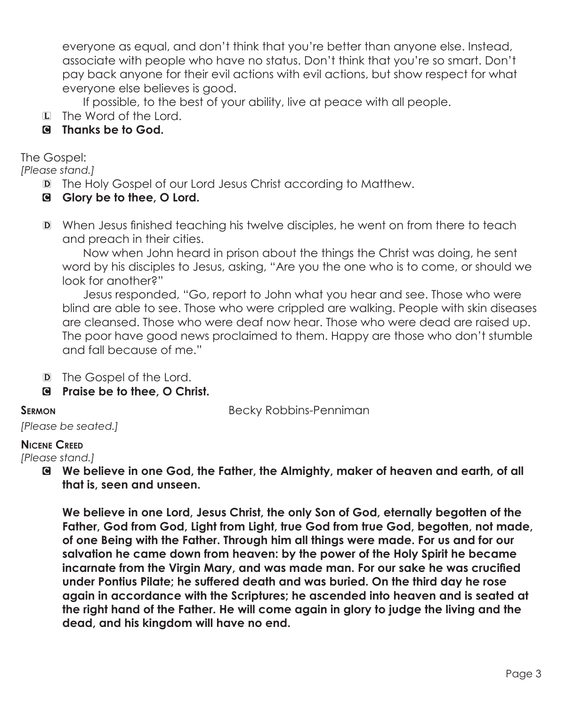everyone as equal, and don't think that you're better than anyone else. Instead, associate with people who have no status. Don't think that you're so smart. Don't pay back anyone for their evil actions with evil actions, but show respect for what everyone else believes is good.

If possible, to the best of your ability, live at peace with all people.

- L The Word of the Lord.
- C **Thanks be to God.**

The Gospel:

*[Please stand.]*

- D The Holy Gospel of our Lord Jesus Christ according to Matthew.
- C **Glory be to thee, O Lord.**
- D When Jesus finished teaching his twelve disciples, he went on from there to teach and preach in their cities.

Now when John heard in prison about the things the Christ was doing, he sent word by his disciples to Jesus, asking, "Are you the one who is to come, or should we look for another?"

Jesus responded, "Go, report to John what you hear and see. Those who were blind are able to see. Those who were crippled are walking. People with skin diseases are cleansed. Those who were deaf now hear. Those who were dead are raised up. The poor have good news proclaimed to them. Happy are those who don't stumble and fall because of me."

- D The Gospel of the Lord.
- C **Praise be to thee, O Christ.**

**SERMON Becky Robbins-Penniman** 

*[Please be seated.]*

#### **Nicene Creed**

*[Please stand.]*

C **We believe in one God, the Father, the Almighty, maker of heaven and earth, of all that is, seen and unseen.** 

 **We believe in one Lord, Jesus Christ, the only Son of God, eternally begotten of the Father, God from God, Light from Light, true God from true God, begotten, not made, of one Being with the Father. Through him all things were made. For us and for our salvation he came down from heaven: by the power of the Holy Spirit he became incarnate from the Virgin Mary, and was made man. For our sake he was crucified under Pontius Pilate; he suffered death and was buried. On the third day he rose again in accordance with the Scriptures; he ascended into heaven and is seated at the right hand of the Father. He will come again in glory to judge the living and the dead, and his kingdom will have no end.**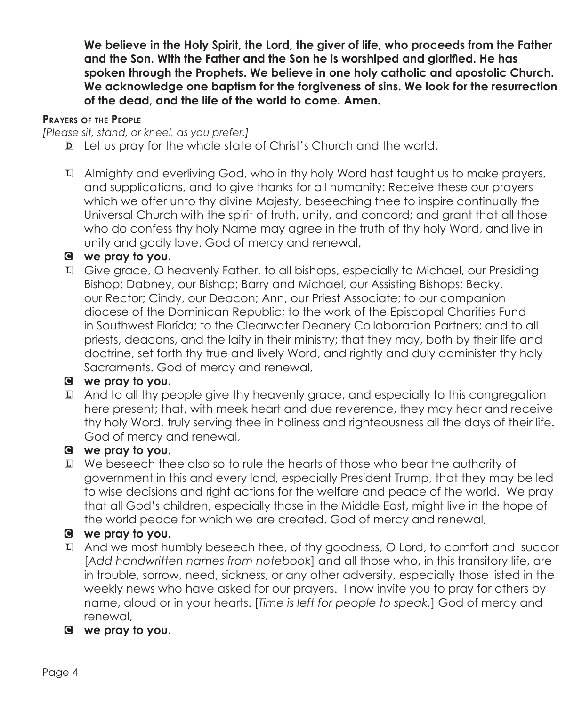**We believe in the Holy Spirit, the Lord, the giver of life, who proceeds from the Father and the Son. With the Father and the Son he is worshiped and glorified. He has spoken through the Prophets. We believe in one holy catholic and apostolic Church. We acknowledge one baptism for the forgiveness of sins. We look for the resurrection of the dead, and the life of the world to come. Amen.**

#### **Prayers of the People**

*[Please sit, stand, or kneel, as you prefer.]*

- D Let us pray for the whole state of Christ's Church and the world.
- L Almighty and everliving God, who in thy holy Word hast taught us to make prayers, and supplications, and to give thanks for all humanity: Receive these our prayers which we offer unto thy divine Majesty, beseeching thee to inspire continually the Universal Church with the spirit of truth, unity, and concord; and grant that all those who do confess thy holy Name may agree in the truth of thy holy Word, and live in unity and godly love. God of mercy and renewal,

#### C **we pray to you.**

L Give grace, O heavenly Father, to all bishops, especially to Michael, our Presiding Bishop; Dabney, our Bishop; Barry and Michael, our Assisting Bishops; Becky, our Rector; Cindy, our Deacon; Ann, our Priest Associate; to our companion diocese of the Dominican Republic; to the work of the Episcopal Charities Fund in Southwest Florida; to the Clearwater Deanery Collaboration Partners; and to all priests, deacons, and the laity in their ministry; that they may, both by their life and doctrine, set forth thy true and lively Word, and rightly and duly administer thy holy Sacraments. God of mercy and renewal,

#### C **we pray to you.**

L And to all thy people give thy heavenly grace, and especially to this congregation here present; that, with meek heart and due reverence, they may hear and receive thy holy Word, truly serving thee in holiness and righteousness all the days of their life. God of mercy and renewal,

#### C **we pray to you.**

L We beseech thee also so to rule the hearts of those who bear the authority of government in this and every land, especially President Trump, that they may be led to wise decisions and right actions for the welfare and peace of the world. We pray that all God's children, especially those in the Middle East, might live in the hope of the world peace for which we are created. God of mercy and renewal,

#### C **we pray to you.**

L And we most humbly beseech thee, of thy goodness, O Lord, to comfort and succor [*Add handwritten names from notebook*] and all those who, in this transitory life, are in trouble, sorrow, need, sickness, or any other adversity, especially those listed in the weekly news who have asked for our prayers. I now invite you to pray for others by name, aloud or in your hearts. [*Time is left for people to speak.*] God of mercy and renewal,

#### C **we pray to you.**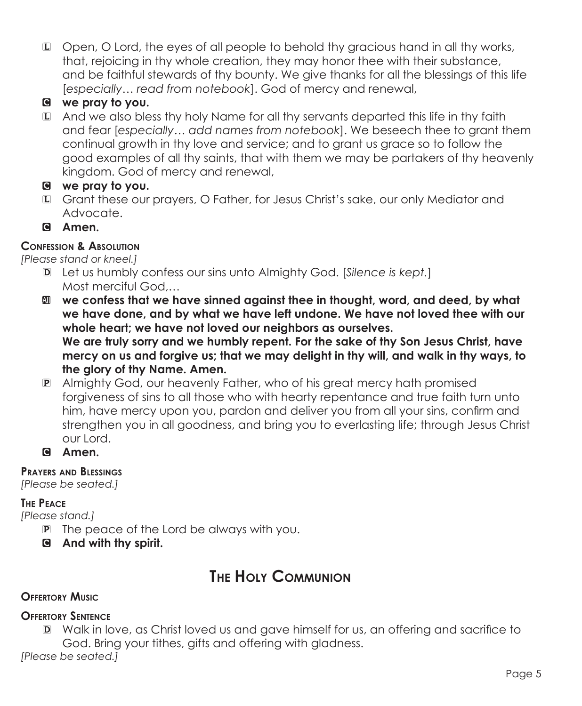L Open, O Lord, the eyes of all people to behold thy gracious hand in all thy works, that, rejoicing in thy whole creation, they may honor thee with their substance, and be faithful stewards of thy bounty. We give thanks for all the blessings of this life [*especially… read from notebook*]. God of mercy and renewal,

#### C **we pray to you.**

L And we also bless thy holy Name for all thy servants departed this life in thy faith and fear [*especially… add names from notebook*]. We beseech thee to grant them continual growth in thy love and service; and to grant us grace so to follow the good examples of all thy saints, that with them we may be partakers of thy heavenly kingdom. God of mercy and renewal,

#### C **we pray to you.**

- L Grant these our prayers, O Father, for Jesus Christ's sake, our only Mediator and Advocate.
- C **Amen.**

### **Confession & Absolution**

*[Please stand or kneel.]*

- D Let us humbly confess our sins unto Almighty God. [*Silence is kept.*] Most merciful God,…
- $\textbf{w}$  we confess that we have sinned against thee in thought, word, and deed, by what **we have done, and by what we have left undone. We have not loved thee with our whole heart; we have not loved our neighbors as ourselves. We are truly sorry and we humbly repent. For the sake of thy Son Jesus Christ, have mercy on us and forgive us; that we may delight in thy will, and walk in thy ways, to the glory of thy Name. Amen.**
- P Almighty God, our heavenly Father, who of his great mercy hath promised forgiveness of sins to all those who with hearty repentance and true faith turn unto him, have mercy upon you, pardon and deliver you from all your sins, confirm and strengthen you in all goodness, and bring you to everlasting life; through Jesus Christ our Lord.
- C **Amen.**

#### **Prayers and Blessings**

*[Please be seated.]*

#### **The Peace**

*[Please stand.]*

- P The peace of the Lord be always with you.
- C **And with thy spirit.**

## **The Holy Communion**

#### **Offertory Music**

#### **Offertory Sentence**

D Walk in love, as Christ loved us and gave himself for us, an offering and sacrifice to God. Bring your tithes, gifts and offering with gladness.

*[Please be seated.]*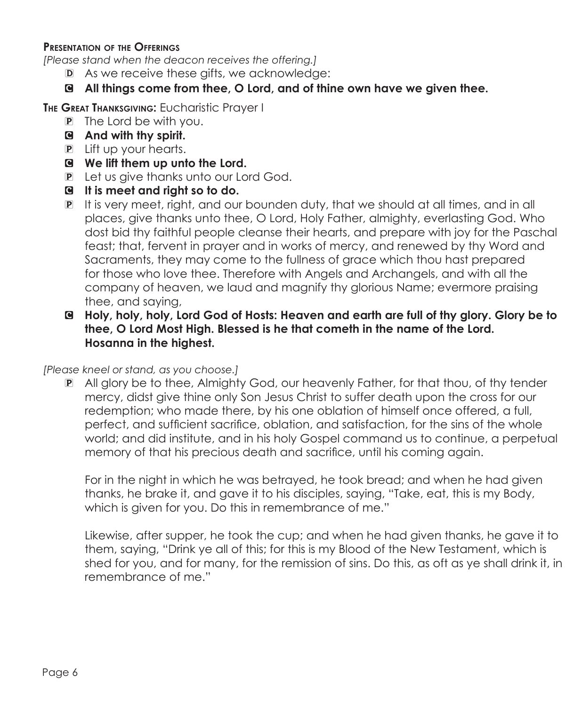#### **Presentation of the Offerings**

*[Please stand when the deacon receives the offering.]*

- D As we receive these gifts, we acknowledge:
- C **All things come from thee, O Lord, and of thine own have we given thee.**

**The Great Thanksgiving:** Eucharistic Prayer I

- P The Lord be with you.
- C **And with thy spirit.**
- P Lift up your hearts.
- C **We lift them up unto the Lord.**
- P Let us give thanks unto our Lord God.
- C **It is meet and right so to do.**
- P It is very meet, right, and our bounden duty, that we should at all times, and in all places, give thanks unto thee, O Lord, Holy Father, almighty, everlasting God. Who dost bid thy faithful people cleanse their hearts, and prepare with joy for the Paschal feast; that, fervent in prayer and in works of mercy, and renewed by thy Word and Sacraments, they may come to the fullness of grace which thou hast prepared for those who love thee. Therefore with Angels and Archangels, and with all the company of heaven, we laud and magnify thy glorious Name; evermore praising thee, and saying,
- C **Holy, holy, holy, Lord God of Hosts: Heaven and earth are full of thy glory. Glory be to thee, O Lord Most High. Blessed is he that cometh in the name of the Lord. Hosanna in the highest.**

*[Please kneel or stand, as you choose.]*

P All glory be to thee, Almighty God, our heavenly Father, for that thou, of thy tender mercy, didst give thine only Son Jesus Christ to suffer death upon the cross for our redemption; who made there, by his one oblation of himself once offered, a full, perfect, and sufficient sacrifice, oblation, and satisfaction, for the sins of the whole world; and did institute, and in his holy Gospel command us to continue, a perpetual memory of that his precious death and sacrifice, until his coming again.

 For in the night in which he was betrayed, he took bread; and when he had given thanks, he brake it, and gave it to his disciples, saying, "Take, eat, this is my Body, which is given for you. Do this in remembrance of me."

 Likewise, after supper, he took the cup; and when he had given thanks, he gave it to them, saying, "Drink ye all of this; for this is my Blood of the New Testament, which is shed for you, and for many, for the remission of sins. Do this, as oft as ye shall drink it, in remembrance of me."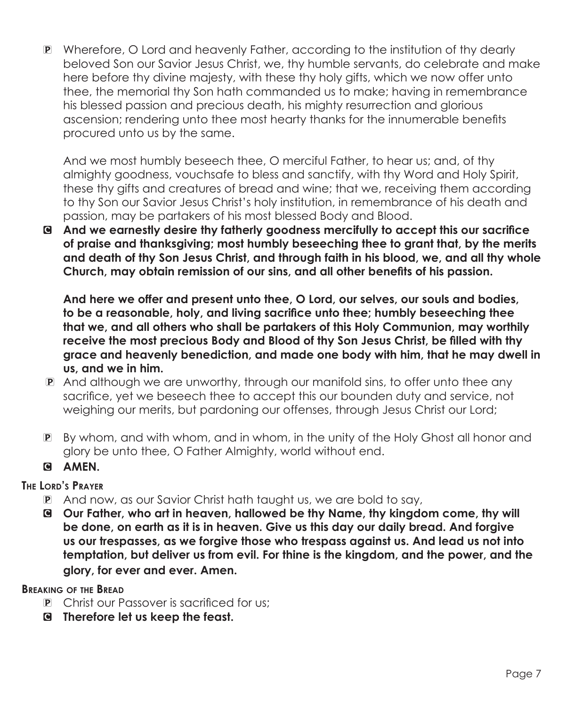P Wherefore, O Lord and heavenly Father, according to the institution of thy dearly beloved Son our Savior Jesus Christ, we, thy humble servants, do celebrate and make here before thy divine majesty, with these thy holy gifts, which we now offer unto thee, the memorial thy Son hath commanded us to make; having in remembrance his blessed passion and precious death, his mighty resurrection and glorious ascension; rendering unto thee most hearty thanks for the innumerable benefits procured unto us by the same.

 And we most humbly beseech thee, O merciful Father, to hear us; and, of thy almighty goodness, vouchsafe to bless and sanctify, with thy Word and Holy Spirit, these thy gifts and creatures of bread and wine; that we, receiving them according to thy Son our Savior Jesus Christ's holy institution, in remembrance of his death and passion, may be partakers of his most blessed Body and Blood.

C **And we earnestly desire thy fatherly goodness mercifully to accept this our sacrifice of praise and thanksgiving; most humbly beseeching thee to grant that, by the merits and death of thy Son Jesus Christ, and through faith in his blood, we, and all thy whole Church, may obtain remission of our sins, and all other benefits of his passion.**

 **And here we offer and present unto thee, O Lord, our selves, our souls and bodies, to be a reasonable, holy, and living sacrifice unto thee; humbly beseeching thee that we, and all others who shall be partakers of this Holy Communion, may worthily receive the most precious Body and Blood of thy Son Jesus Christ, be filled with thy grace and heavenly benediction, and made one body with him, that he may dwell in us, and we in him.** 

- P And although we are unworthy, through our manifold sins, to offer unto thee any sacrifice, yet we beseech thee to accept this our bounden duty and service, not weighing our merits, but pardoning our offenses, through Jesus Christ our Lord;
- P By whom, and with whom, and in whom, in the unity of the Holy Ghost all honor and glory be unto thee, O Father Almighty, world without end.
- C **AMEN.**

#### **The Lord's Prayer**

- P And now, as our Savior Christ hath taught us, we are bold to say,
- C **Our Father, who art in heaven, hallowed be thy Name, thy kingdom come, thy will be done, on earth as it is in heaven. Give us this day our daily bread. And forgive us our trespasses, as we forgive those who trespass against us. And lead us not into temptation, but deliver us from evil. For thine is the kingdom, and the power, and the glory, for ever and ever. Amen.**

**Breaking of the Bread**

- **P** Christ our Passover is sacrificed for us;
- C **Therefore let us keep the feast.**